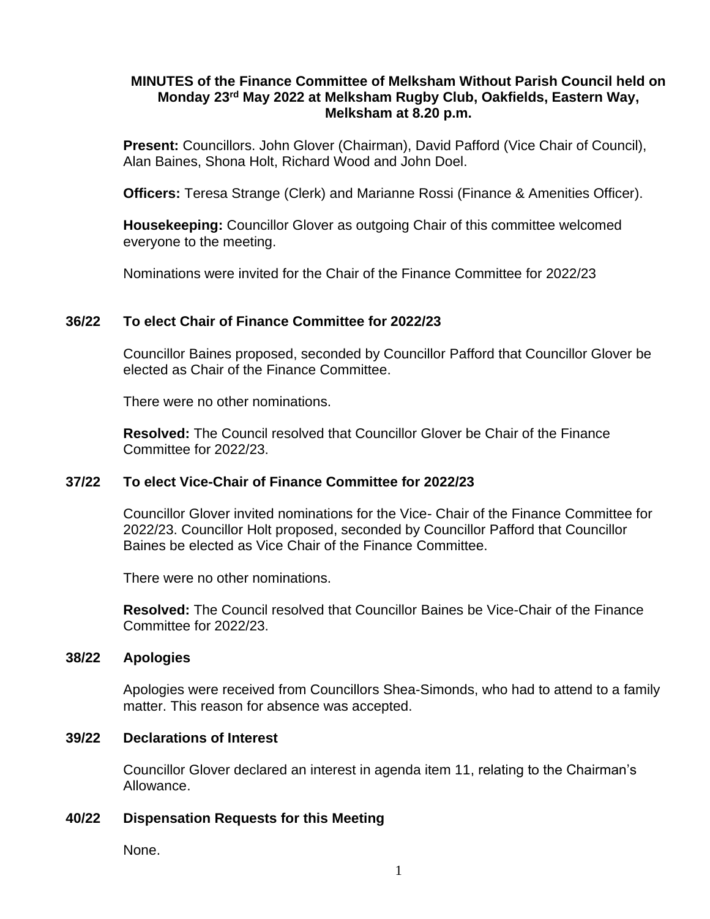## **MINUTES of the Finance Committee of Melksham Without Parish Council held on Monday 23rd May 2022 at Melksham Rugby Club, Oakfields, Eastern Way, Melksham at 8.20 p.m.**

**Present:** Councillors. John Glover (Chairman), David Pafford (Vice Chair of Council), Alan Baines, Shona Holt, Richard Wood and John Doel.

**Officers:** Teresa Strange (Clerk) and Marianne Rossi (Finance & Amenities Officer).

**Housekeeping:** Councillor Glover as outgoing Chair of this committee welcomed everyone to the meeting.

Nominations were invited for the Chair of the Finance Committee for 2022/23

## **36/22 To elect Chair of Finance Committee for 2022/23**

Councillor Baines proposed, seconded by Councillor Pafford that Councillor Glover be elected as Chair of the Finance Committee.

There were no other nominations.

**Resolved:** The Council resolved that Councillor Glover be Chair of the Finance Committee for 2022/23.

## **37/22 To elect Vice-Chair of Finance Committee for 2022/23**

Councillor Glover invited nominations for the Vice- Chair of the Finance Committee for 2022/23. Councillor Holt proposed, seconded by Councillor Pafford that Councillor Baines be elected as Vice Chair of the Finance Committee.

There were no other nominations.

**Resolved:** The Council resolved that Councillor Baines be Vice-Chair of the Finance Committee for 2022/23.

#### **38/22 Apologies**

Apologies were received from Councillors Shea-Simonds, who had to attend to a family matter. This reason for absence was accepted.

#### **39/22 Declarations of Interest**

Councillor Glover declared an interest in agenda item 11, relating to the Chairman's Allowance.

## **40/22 Dispensation Requests for this Meeting**

None.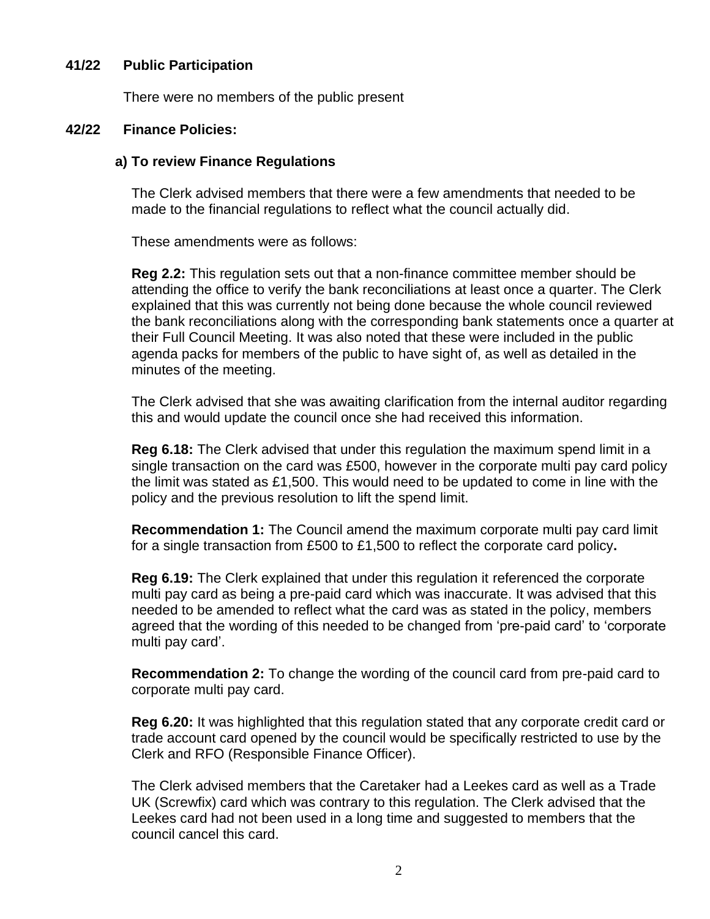#### **41/22 Public Participation**

There were no members of the public present

#### **42/22 Finance Policies:**

#### **a) To review Finance Regulations**

The Clerk advised members that there were a few amendments that needed to be made to the financial regulations to reflect what the council actually did.

These amendments were as follows:

**Reg 2.2:** This regulation sets out that a non-finance committee member should be attending the office to verify the bank reconciliations at least once a quarter. The Clerk explained that this was currently not being done because the whole council reviewed the bank reconciliations along with the corresponding bank statements once a quarter at their Full Council Meeting. It was also noted that these were included in the public agenda packs for members of the public to have sight of, as well as detailed in the minutes of the meeting.

The Clerk advised that she was awaiting clarification from the internal auditor regarding this and would update the council once she had received this information.

**Reg 6.18:** The Clerk advised that under this regulation the maximum spend limit in a single transaction on the card was £500, however in the corporate multi pay card policy the limit was stated as £1,500. This would need to be updated to come in line with the policy and the previous resolution to lift the spend limit.

**Recommendation 1:** The Council amend the maximum corporate multi pay card limit for a single transaction from £500 to £1,500 to reflect the corporate card policy**.** 

**Reg 6.19:** The Clerk explained that under this regulation it referenced the corporate multi pay card as being a pre-paid card which was inaccurate. It was advised that this needed to be amended to reflect what the card was as stated in the policy, members agreed that the wording of this needed to be changed from 'pre-paid card' to 'corporate multi pay card'.

**Recommendation 2:** To change the wording of the council card from pre-paid card to corporate multi pay card.

**Reg 6.20:** It was highlighted that this regulation stated that any corporate credit card or trade account card opened by the council would be specifically restricted to use by the Clerk and RFO (Responsible Finance Officer).

The Clerk advised members that the Caretaker had a Leekes card as well as a Trade UK (Screwfix) card which was contrary to this regulation. The Clerk advised that the Leekes card had not been used in a long time and suggested to members that the council cancel this card.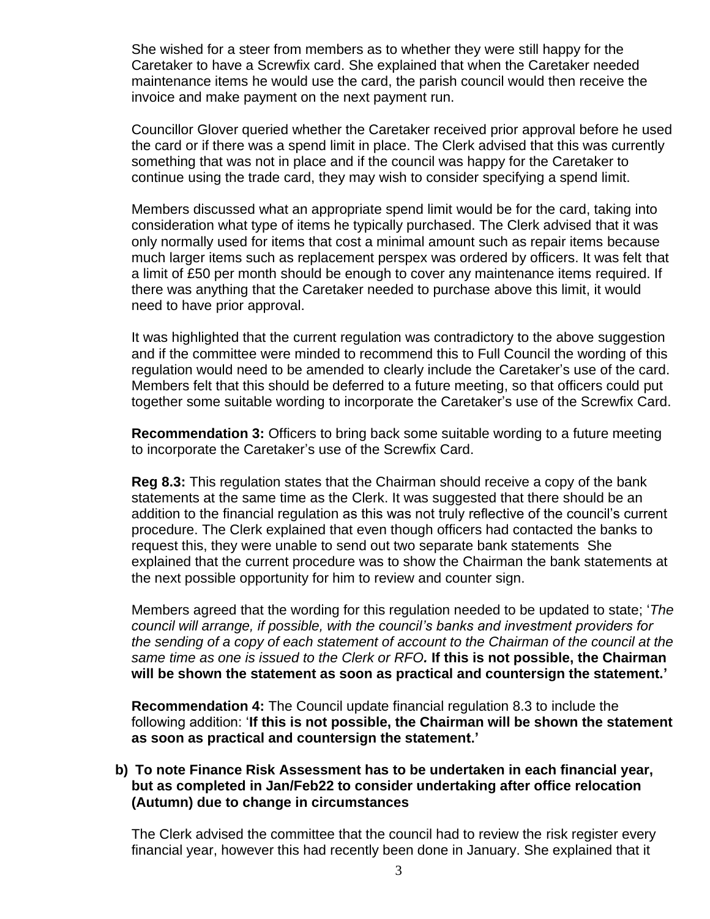She wished for a steer from members as to whether they were still happy for the Caretaker to have a Screwfix card. She explained that when the Caretaker needed maintenance items he would use the card, the parish council would then receive the invoice and make payment on the next payment run.

Councillor Glover queried whether the Caretaker received prior approval before he used the card or if there was a spend limit in place. The Clerk advised that this was currently something that was not in place and if the council was happy for the Caretaker to continue using the trade card, they may wish to consider specifying a spend limit.

Members discussed what an appropriate spend limit would be for the card, taking into consideration what type of items he typically purchased. The Clerk advised that it was only normally used for items that cost a minimal amount such as repair items because much larger items such as replacement perspex was ordered by officers. It was felt that a limit of £50 per month should be enough to cover any maintenance items required. If there was anything that the Caretaker needed to purchase above this limit, it would need to have prior approval.

It was highlighted that the current regulation was contradictory to the above suggestion and if the committee were minded to recommend this to Full Council the wording of this regulation would need to be amended to clearly include the Caretaker's use of the card. Members felt that this should be deferred to a future meeting, so that officers could put together some suitable wording to incorporate the Caretaker's use of the Screwfix Card.

**Recommendation 3:** Officers to bring back some suitable wording to a future meeting to incorporate the Caretaker's use of the Screwfix Card.

**Reg 8.3:** This regulation states that the Chairman should receive a copy of the bank statements at the same time as the Clerk. It was suggested that there should be an addition to the financial regulation as this was not truly reflective of the council's current procedure. The Clerk explained that even though officers had contacted the banks to request this, they were unable to send out two separate bank statements She explained that the current procedure was to show the Chairman the bank statements at the next possible opportunity for him to review and counter sign.

Members agreed that the wording for this regulation needed to be updated to state; '*The council will arrange, if possible, with the council's banks and investment providers for the sending of a copy of each statement of account to the Chairman of the council at the same time as one is issued to the Clerk or RFO.* **If this is not possible, the Chairman will be shown the statement as soon as practical and countersign the statement.'**

**Recommendation 4:** The Council update financial regulation 8.3 to include the following addition: '**If this is not possible, the Chairman will be shown the statement as soon as practical and countersign the statement.'**

## **b) To note Finance Risk Assessment has to be undertaken in each financial year, but as completed in Jan/Feb22 to consider undertaking after office relocation (Autumn) due to change in circumstances**

The Clerk advised the committee that the council had to review the risk register every financial year, however this had recently been done in January. She explained that it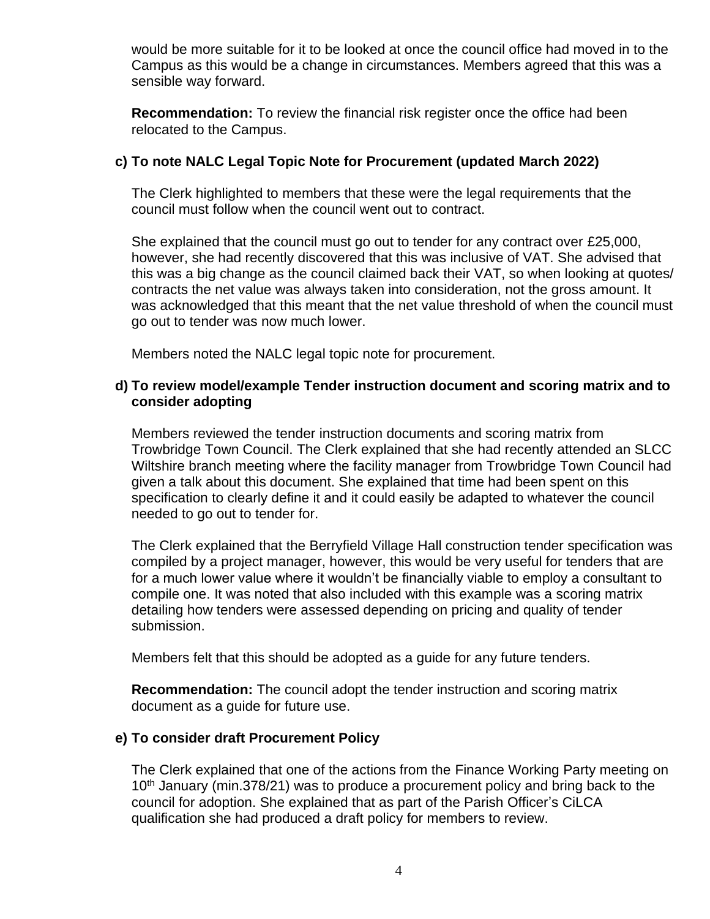would be more suitable for it to be looked at once the council office had moved in to the Campus as this would be a change in circumstances. Members agreed that this was a sensible way forward.

**Recommendation:** To review the financial risk register once the office had been relocated to the Campus.

## **c) To note NALC Legal Topic Note for Procurement (updated March 2022)**

The Clerk highlighted to members that these were the legal requirements that the council must follow when the council went out to contract.

She explained that the council must go out to tender for any contract over £25,000, however, she had recently discovered that this was inclusive of VAT. She advised that this was a big change as the council claimed back their VAT, so when looking at quotes/ contracts the net value was always taken into consideration, not the gross amount. It was acknowledged that this meant that the net value threshold of when the council must go out to tender was now much lower.

Members noted the NALC legal topic note for procurement.

## **d) To review model/example Tender instruction document and scoring matrix and to consider adopting**

Members reviewed the tender instruction documents and scoring matrix from Trowbridge Town Council. The Clerk explained that she had recently attended an SLCC Wiltshire branch meeting where the facility manager from Trowbridge Town Council had given a talk about this document. She explained that time had been spent on this specification to clearly define it and it could easily be adapted to whatever the council needed to go out to tender for.

The Clerk explained that the Berryfield Village Hall construction tender specification was compiled by a project manager, however, this would be very useful for tenders that are for a much lower value where it wouldn't be financially viable to employ a consultant to compile one. It was noted that also included with this example was a scoring matrix detailing how tenders were assessed depending on pricing and quality of tender submission.

Members felt that this should be adopted as a guide for any future tenders.

**Recommendation:** The council adopt the tender instruction and scoring matrix document as a guide for future use.

## **e) To consider draft Procurement Policy**

The Clerk explained that one of the actions from the Finance Working Party meeting on 10<sup>th</sup> January (min.378/21) was to produce a procurement policy and bring back to the council for adoption. She explained that as part of the Parish Officer's CiLCA qualification she had produced a draft policy for members to review.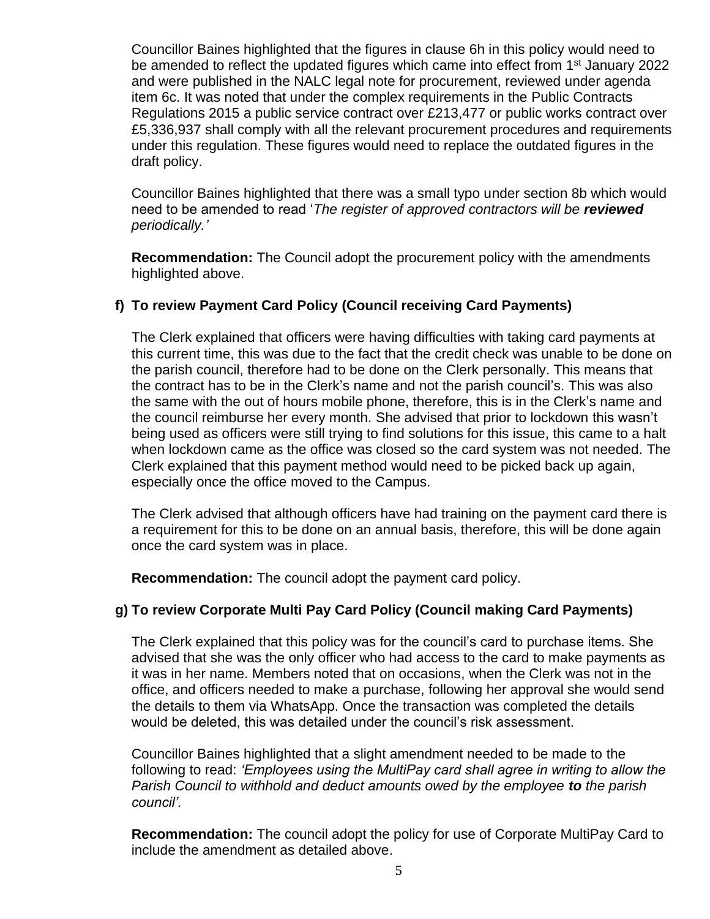Councillor Baines highlighted that the figures in clause 6h in this policy would need to be amended to reflect the updated figures which came into effect from 1<sup>st</sup> January 2022 and were published in the NALC legal note for procurement, reviewed under agenda item 6c. It was noted that under the complex requirements in the Public Contracts Regulations 2015 a public service contract over £213,477 or public works contract over £5,336,937 shall comply with all the relevant procurement procedures and requirements under this regulation. These figures would need to replace the outdated figures in the draft policy.

Councillor Baines highlighted that there was a small typo under section 8b which would need to be amended to read '*The register of approved contractors will be reviewed periodically.'*

**Recommendation:** The Council adopt the procurement policy with the amendments highlighted above.

# **f) To review Payment Card Policy (Council receiving Card Payments)**

The Clerk explained that officers were having difficulties with taking card payments at this current time, this was due to the fact that the credit check was unable to be done on the parish council, therefore had to be done on the Clerk personally. This means that the contract has to be in the Clerk's name and not the parish council's. This was also the same with the out of hours mobile phone, therefore, this is in the Clerk's name and the council reimburse her every month. She advised that prior to lockdown this wasn't being used as officers were still trying to find solutions for this issue, this came to a halt when lockdown came as the office was closed so the card system was not needed. The Clerk explained that this payment method would need to be picked back up again, especially once the office moved to the Campus.

The Clerk advised that although officers have had training on the payment card there is a requirement for this to be done on an annual basis, therefore, this will be done again once the card system was in place.

**Recommendation:** The council adopt the payment card policy.

# **g) To review Corporate Multi Pay Card Policy (Council making Card Payments)**

The Clerk explained that this policy was for the council's card to purchase items. She advised that she was the only officer who had access to the card to make payments as it was in her name. Members noted that on occasions, when the Clerk was not in the office, and officers needed to make a purchase, following her approval she would send the details to them via WhatsApp. Once the transaction was completed the details would be deleted, this was detailed under the council's risk assessment.

Councillor Baines highlighted that a slight amendment needed to be made to the following to read: *'Employees using the MultiPay card shall agree in writing to allow the Parish Council to withhold and deduct amounts owed by the employee to the parish council'.*

**Recommendation:** The council adopt the policy for use of Corporate MultiPay Card to include the amendment as detailed above.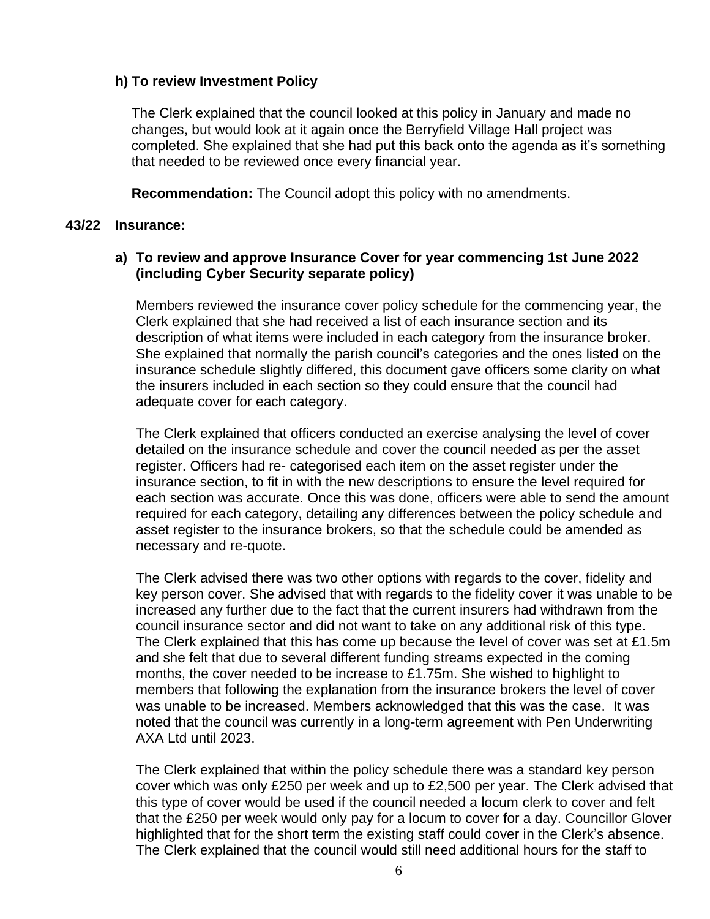# **h) To review Investment Policy**

The Clerk explained that the council looked at this policy in January and made no changes, but would look at it again once the Berryfield Village Hall project was completed. She explained that she had put this back onto the agenda as it's something that needed to be reviewed once every financial year.

**Recommendation:** The Council adopt this policy with no amendments.

#### **43/22 Insurance:**

## **a) To review and approve Insurance Cover for year commencing 1st June 2022 (including Cyber Security separate policy)**

Members reviewed the insurance cover policy schedule for the commencing year, the Clerk explained that she had received a list of each insurance section and its description of what items were included in each category from the insurance broker. She explained that normally the parish council's categories and the ones listed on the insurance schedule slightly differed, this document gave officers some clarity on what the insurers included in each section so they could ensure that the council had adequate cover for each category.

The Clerk explained that officers conducted an exercise analysing the level of cover detailed on the insurance schedule and cover the council needed as per the asset register. Officers had re- categorised each item on the asset register under the insurance section, to fit in with the new descriptions to ensure the level required for each section was accurate. Once this was done, officers were able to send the amount required for each category, detailing any differences between the policy schedule and asset register to the insurance brokers, so that the schedule could be amended as necessary and re-quote.

The Clerk advised there was two other options with regards to the cover, fidelity and key person cover. She advised that with regards to the fidelity cover it was unable to be increased any further due to the fact that the current insurers had withdrawn from the council insurance sector and did not want to take on any additional risk of this type. The Clerk explained that this has come up because the level of cover was set at  $£1.5m$ and she felt that due to several different funding streams expected in the coming months, the cover needed to be increase to £1.75m. She wished to highlight to members that following the explanation from the insurance brokers the level of cover was unable to be increased. Members acknowledged that this was the case. It was noted that the council was currently in a long-term agreement with Pen Underwriting AXA Ltd until 2023.

The Clerk explained that within the policy schedule there was a standard key person cover which was only £250 per week and up to £2,500 per year. The Clerk advised that this type of cover would be used if the council needed a locum clerk to cover and felt that the £250 per week would only pay for a locum to cover for a day. Councillor Glover highlighted that for the short term the existing staff could cover in the Clerk's absence. The Clerk explained that the council would still need additional hours for the staff to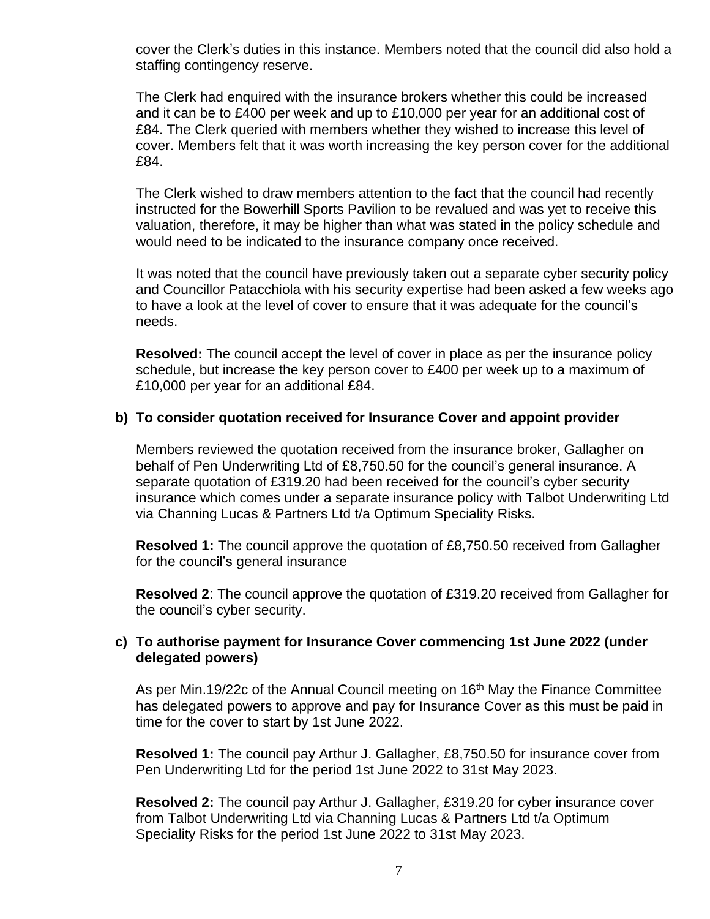cover the Clerk's duties in this instance. Members noted that the council did also hold a staffing contingency reserve.

The Clerk had enquired with the insurance brokers whether this could be increased and it can be to £400 per week and up to £10,000 per year for an additional cost of £84. The Clerk queried with members whether they wished to increase this level of cover. Members felt that it was worth increasing the key person cover for the additional £84.

The Clerk wished to draw members attention to the fact that the council had recently instructed for the Bowerhill Sports Pavilion to be revalued and was yet to receive this valuation, therefore, it may be higher than what was stated in the policy schedule and would need to be indicated to the insurance company once received.

It was noted that the council have previously taken out a separate cyber security policy and Councillor Patacchiola with his security expertise had been asked a few weeks ago to have a look at the level of cover to ensure that it was adequate for the council's needs.

**Resolved:** The council accept the level of cover in place as per the insurance policy schedule, but increase the key person cover to £400 per week up to a maximum of £10,000 per year for an additional £84.

#### **b) To consider quotation received for Insurance Cover and appoint provider**

Members reviewed the quotation received from the insurance broker, Gallagher on behalf of Pen Underwriting Ltd of £8,750.50 for the council's general insurance. A separate quotation of £319.20 had been received for the council's cyber security insurance which comes under a separate insurance policy with Talbot Underwriting Ltd via Channing Lucas & Partners Ltd t/a Optimum Speciality Risks.

**Resolved 1:** The council approve the quotation of £8,750.50 received from Gallagher for the council's general insurance

**Resolved 2**: The council approve the quotation of £319.20 received from Gallagher for the council's cyber security.

## **c) To authorise payment for Insurance Cover commencing 1st June 2022 (under delegated powers)**

As per Min.19/22c of the Annual Council meeting on 16<sup>th</sup> May the Finance Committee has delegated powers to approve and pay for Insurance Cover as this must be paid in time for the cover to start by 1st June 2022.

**Resolved 1:** The council pay Arthur J. Gallagher, £8,750.50 for insurance cover from Pen Underwriting Ltd for the period 1st June 2022 to 31st May 2023.

**Resolved 2:** The council pay Arthur J. Gallagher, £319.20 for cyber insurance cover from Talbot Underwriting Ltd via Channing Lucas & Partners Ltd t/a Optimum Speciality Risks for the period 1st June 2022 to 31st May 2023.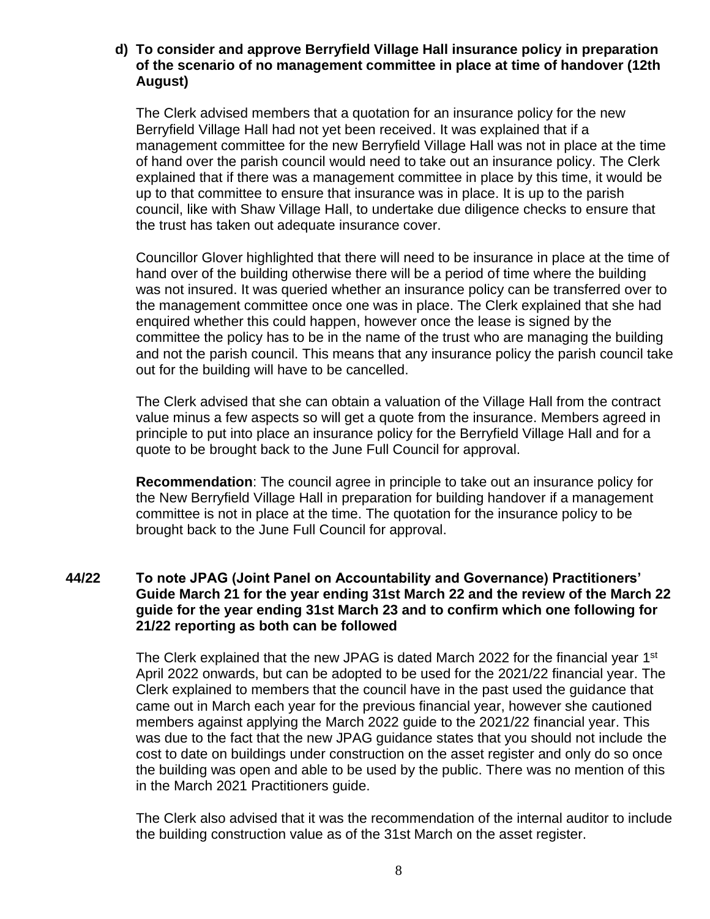## **d) To consider and approve Berryfield Village Hall insurance policy in preparation of the scenario of no management committee in place at time of handover (12th August)**

The Clerk advised members that a quotation for an insurance policy for the new Berryfield Village Hall had not yet been received. It was explained that if a management committee for the new Berryfield Village Hall was not in place at the time of hand over the parish council would need to take out an insurance policy. The Clerk explained that if there was a management committee in place by this time, it would be up to that committee to ensure that insurance was in place. It is up to the parish council, like with Shaw Village Hall, to undertake due diligence checks to ensure that the trust has taken out adequate insurance cover.

Councillor Glover highlighted that there will need to be insurance in place at the time of hand over of the building otherwise there will be a period of time where the building was not insured. It was queried whether an insurance policy can be transferred over to the management committee once one was in place. The Clerk explained that she had enquired whether this could happen, however once the lease is signed by the committee the policy has to be in the name of the trust who are managing the building and not the parish council. This means that any insurance policy the parish council take out for the building will have to be cancelled.

The Clerk advised that she can obtain a valuation of the Village Hall from the contract value minus a few aspects so will get a quote from the insurance. Members agreed in principle to put into place an insurance policy for the Berryfield Village Hall and for a quote to be brought back to the June Full Council for approval.

**Recommendation**: The council agree in principle to take out an insurance policy for the New Berryfield Village Hall in preparation for building handover if a management committee is not in place at the time. The quotation for the insurance policy to be brought back to the June Full Council for approval.

## **44/22 To note JPAG (Joint Panel on Accountability and Governance) Practitioners' Guide March 21 for the year ending 31st March 22 and the review of the March 22 guide for the year ending 31st March 23 and to confirm which one following for 21/22 reporting as both can be followed**

The Clerk explained that the new JPAG is dated March 2022 for the financial year 1<sup>st</sup> April 2022 onwards, but can be adopted to be used for the 2021/22 financial year. The Clerk explained to members that the council have in the past used the guidance that came out in March each year for the previous financial year, however she cautioned members against applying the March 2022 guide to the 2021/22 financial year. This was due to the fact that the new JPAG guidance states that you should not include the cost to date on buildings under construction on the asset register and only do so once the building was open and able to be used by the public. There was no mention of this in the March 2021 Practitioners guide.

The Clerk also advised that it was the recommendation of the internal auditor to include the building construction value as of the 31st March on the asset register.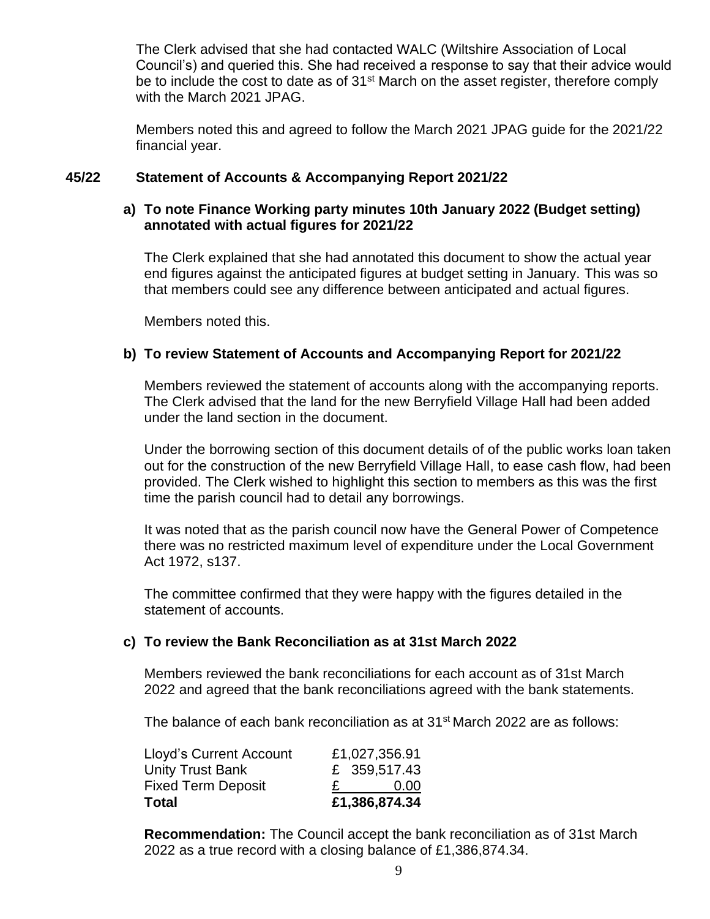The Clerk advised that she had contacted WALC (Wiltshire Association of Local Council's) and queried this. She had received a response to say that their advice would be to include the cost to date as of 31<sup>st</sup> March on the asset register, therefore comply with the March 2021 JPAG.

Members noted this and agreed to follow the March 2021 JPAG guide for the 2021/22 financial year.

# **45/22 Statement of Accounts & Accompanying Report 2021/22**

# **a) To note Finance Working party minutes 10th January 2022 (Budget setting) annotated with actual figures for 2021/22**

The Clerk explained that she had annotated this document to show the actual year end figures against the anticipated figures at budget setting in January. This was so that members could see any difference between anticipated and actual figures.

Members noted this.

# **b) To review Statement of Accounts and Accompanying Report for 2021/22**

Members reviewed the statement of accounts along with the accompanying reports. The Clerk advised that the land for the new Berryfield Village Hall had been added under the land section in the document.

Under the borrowing section of this document details of of the public works loan taken out for the construction of the new Berryfield Village Hall, to ease cash flow, had been provided. The Clerk wished to highlight this section to members as this was the first time the parish council had to detail any borrowings.

It was noted that as the parish council now have the General Power of Competence there was no restricted maximum level of expenditure under the Local Government Act 1972, s137.

The committee confirmed that they were happy with the figures detailed in the statement of accounts.

## **c) To review the Bank Reconciliation as at 31st March 2022**

Members reviewed the bank reconciliations for each account as of 31st March 2022 and agreed that the bank reconciliations agreed with the bank statements.

The balance of each bank reconciliation as at 31<sup>st</sup> March 2022 are as follows:

| Total                          | £1,386,874.34     |
|--------------------------------|-------------------|
| <b>Fixed Term Deposit</b>      | 0.00 <sub>1</sub> |
| <b>Unity Trust Bank</b>        | £ 359,517.43      |
| <b>Lloyd's Current Account</b> | £1,027,356.91     |

**Recommendation:** The Council accept the bank reconciliation as of 31st March 2022 as a true record with a closing balance of £1,386,874.34.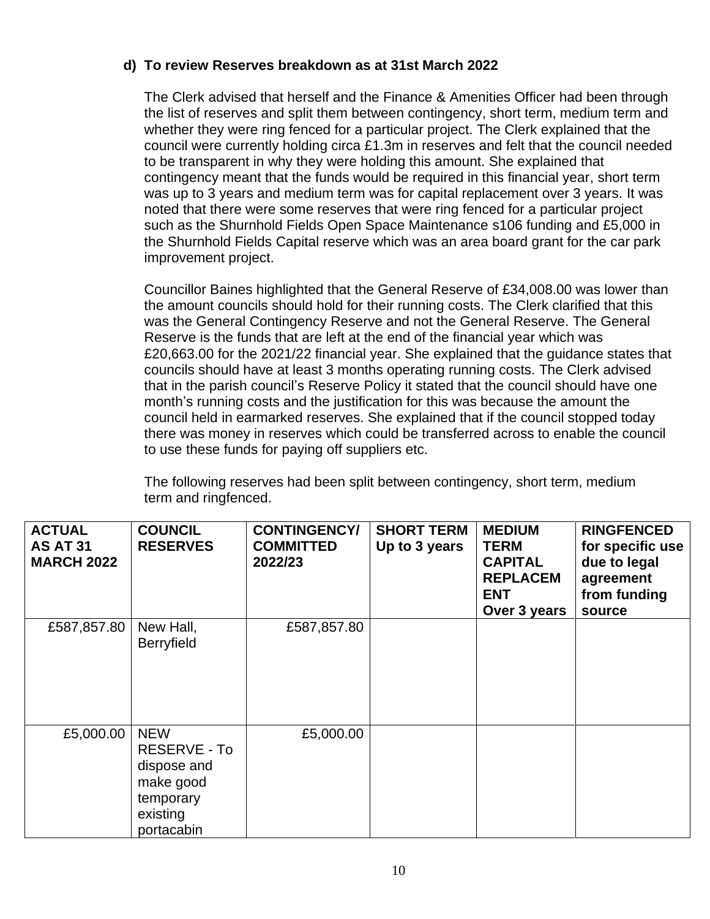# **d) To review Reserves breakdown as at 31st March 2022**

The Clerk advised that herself and the Finance & Amenities Officer had been through the list of reserves and split them between contingency, short term, medium term and whether they were ring fenced for a particular project. The Clerk explained that the council were currently holding circa £1.3m in reserves and felt that the council needed to be transparent in why they were holding this amount. She explained that contingency meant that the funds would be required in this financial year, short term was up to 3 years and medium term was for capital replacement over 3 years. It was noted that there were some reserves that were ring fenced for a particular project such as the Shurnhold Fields Open Space Maintenance s106 funding and £5,000 in the Shurnhold Fields Capital reserve which was an area board grant for the car park improvement project.

Councillor Baines highlighted that the General Reserve of £34,008.00 was lower than the amount councils should hold for their running costs. The Clerk clarified that this was the General Contingency Reserve and not the General Reserve. The General Reserve is the funds that are left at the end of the financial year which was £20,663.00 for the 2021/22 financial year. She explained that the guidance states that councils should have at least 3 months operating running costs. The Clerk advised that in the parish council's Reserve Policy it stated that the council should have one month's running costs and the justification for this was because the amount the council held in earmarked reserves. She explained that if the council stopped today there was money in reserves which could be transferred across to enable the council to use these funds for paying off suppliers etc.

The following reserves had been split between contingency, short term, medium term and ringfenced.

| <b>ACTUAL</b><br><b>AS AT 31</b><br><b>MARCH 2022</b> | <b>COUNCIL</b><br><b>RESERVES</b>                                                             | <b>CONTINGENCY/</b><br><b>COMMITTED</b><br>2022/23 | <b>SHORT TERM</b><br>Up to 3 years | <b>MEDIUM</b><br><b>TERM</b><br><b>CAPITAL</b><br><b>REPLACEM</b><br><b>ENT</b><br>Over 3 years | <b>RINGFENCED</b><br>for specific use<br>due to legal<br>agreement<br>from funding<br>source |
|-------------------------------------------------------|-----------------------------------------------------------------------------------------------|----------------------------------------------------|------------------------------------|-------------------------------------------------------------------------------------------------|----------------------------------------------------------------------------------------------|
| £587,857.80                                           | New Hall,<br><b>Berryfield</b>                                                                | £587,857.80                                        |                                    |                                                                                                 |                                                                                              |
| £5,000.00                                             | <b>NEW</b><br>RESERVE - To<br>dispose and<br>make good<br>temporary<br>existing<br>portacabin | £5,000.00                                          |                                    |                                                                                                 |                                                                                              |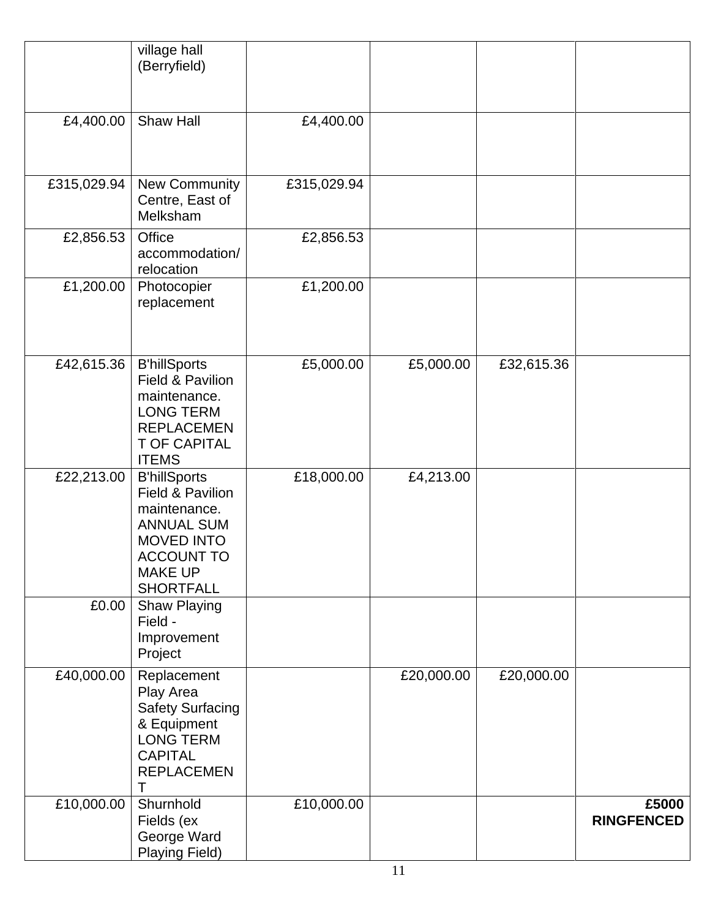|             | village hall<br>(Berryfield)                                                                                                                                 |             |            |            |                            |
|-------------|--------------------------------------------------------------------------------------------------------------------------------------------------------------|-------------|------------|------------|----------------------------|
| £4,400.00   | Shaw Hall                                                                                                                                                    | £4,400.00   |            |            |                            |
| £315,029.94 | New Community<br>Centre, East of<br>Melksham                                                                                                                 | £315,029.94 |            |            |                            |
| £2,856.53   | Office<br>accommodation/<br>relocation                                                                                                                       | £2,856.53   |            |            |                            |
| £1,200.00   | Photocopier<br>replacement                                                                                                                                   | £1,200.00   |            |            |                            |
| £42,615.36  | <b>B'hillSports</b><br>Field & Pavilion<br>maintenance.<br><b>LONG TERM</b><br><b>REPLACEMEN</b><br><b>T OF CAPITAL</b><br><b>ITEMS</b>                      | £5,000.00   | £5,000.00  | £32,615.36 |                            |
| £22,213.00  | <b>B'hillSports</b><br>Field & Pavilion<br>maintenance.<br><b>ANNUAL SUM</b><br><b>MOVED INTO</b><br><b>ACCOUNT TO</b><br><b>MAKE UP</b><br><b>SHORTFALL</b> | £18,000.00  | £4,213.00  |            |                            |
| £0.00       | <b>Shaw Playing</b><br>Field -<br>Improvement<br>Project                                                                                                     |             |            |            |                            |
| £40,000.00  | Replacement<br>Play Area<br><b>Safety Surfacing</b><br>& Equipment<br><b>LONG TERM</b><br><b>CAPITAL</b><br><b>REPLACEMEN</b><br>Τ                           |             | £20,000.00 | £20,000.00 |                            |
| £10,000.00  | Shurnhold<br>Fields (ex<br>George Ward<br>Playing Field)                                                                                                     | £10,000.00  |            |            | £5000<br><b>RINGFENCED</b> |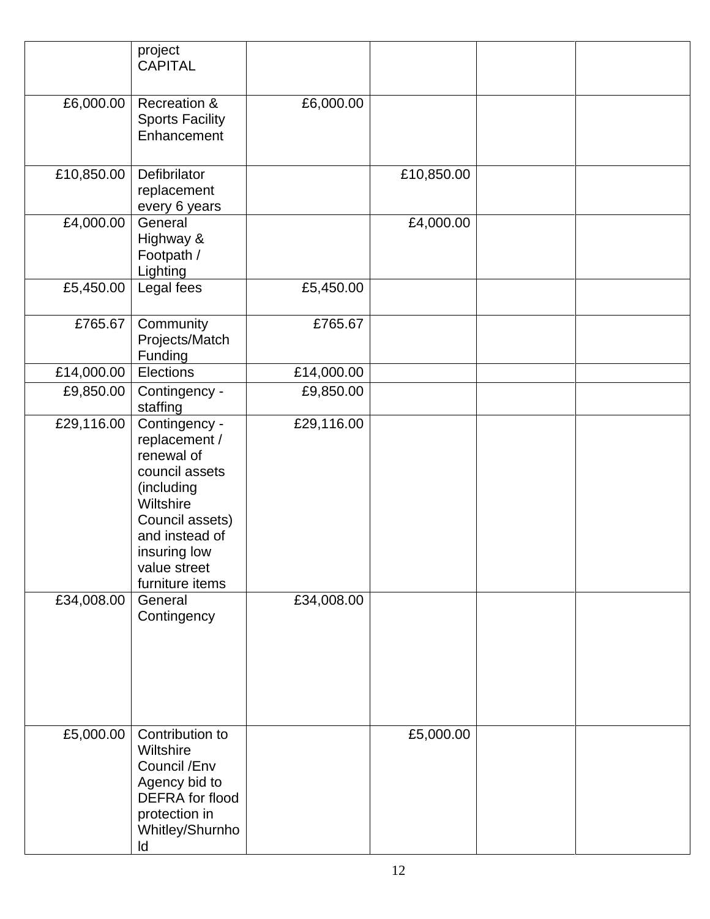|            | project<br><b>CAPITAL</b>                                                                                                                                                         |            |            |  |
|------------|-----------------------------------------------------------------------------------------------------------------------------------------------------------------------------------|------------|------------|--|
| £6,000.00  | Recreation &<br><b>Sports Facility</b><br>Enhancement                                                                                                                             | £6,000.00  |            |  |
| £10,850.00 | Defibrilator<br>replacement<br>every 6 years                                                                                                                                      |            | £10,850.00 |  |
| £4,000.00  | General<br>Highway &<br>Footpath /<br>Lighting                                                                                                                                    |            | £4,000.00  |  |
| £5,450.00  | Legal fees                                                                                                                                                                        | £5,450.00  |            |  |
| £765.67    | Community<br>Projects/Match<br>Funding                                                                                                                                            | £765.67    |            |  |
| £14,000.00 | Elections                                                                                                                                                                         | £14,000.00 |            |  |
| £9,850.00  | Contingency -<br>staffing                                                                                                                                                         | £9,850.00  |            |  |
| £29,116.00 | Contingency -<br>replacement /<br>renewal of<br>council assets<br>(including<br>Wiltshire<br>Council assets)<br>and instead of<br>insuring low<br>value street<br>furniture items | £29,116.00 |            |  |
| £34,008.00 | General<br>Contingency                                                                                                                                                            | £34,008.00 |            |  |
| £5,000.00  | Contribution to<br>Wiltshire<br>Council / Env<br>Agency bid to<br>DEFRA for flood<br>protection in<br>Whitley/Shurnho<br>ld                                                       |            | £5,000.00  |  |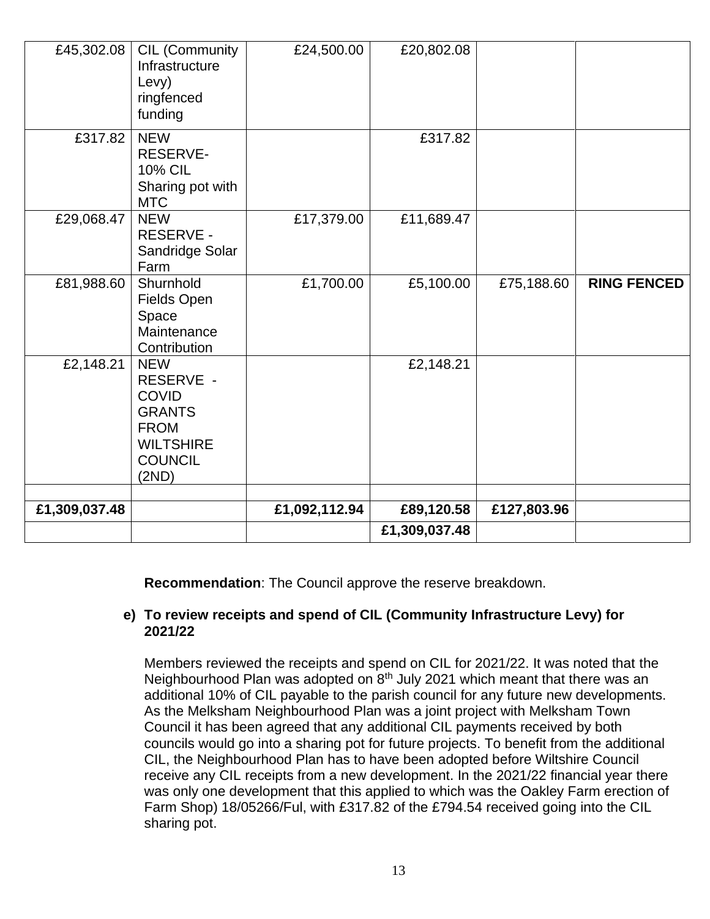| £45,302.08    | CIL (Community<br>Infrastructure<br>Levy)<br>ringfenced<br>funding                                                     | £24,500.00    | £20,802.08    |             |                    |
|---------------|------------------------------------------------------------------------------------------------------------------------|---------------|---------------|-------------|--------------------|
| £317.82       | <b>NEW</b><br><b>RESERVE-</b><br><b>10% CIL</b><br>Sharing pot with<br><b>MTC</b>                                      |               | £317.82       |             |                    |
| £29,068.47    | <b>NEW</b><br><b>RESERVE -</b><br>Sandridge Solar<br>Farm                                                              | £17,379.00    | £11,689.47    |             |                    |
| £81,988.60    | Shurnhold<br>Fields Open<br>Space<br>Maintenance<br>Contribution                                                       | £1,700.00     | £5,100.00     | £75,188.60  | <b>RING FENCED</b> |
| £2,148.21     | <b>NEW</b><br>RESERVE -<br><b>COVID</b><br><b>GRANTS</b><br><b>FROM</b><br><b>WILTSHIRE</b><br><b>COUNCIL</b><br>(2ND) |               | £2,148.21     |             |                    |
| £1,309,037.48 |                                                                                                                        | £1,092,112.94 | £89,120.58    | £127,803.96 |                    |
|               |                                                                                                                        |               | £1,309,037.48 |             |                    |

**Recommendation**: The Council approve the reserve breakdown.

# **e) To review receipts and spend of CIL (Community Infrastructure Levy) for 2021/22**

Members reviewed the receipts and spend on CIL for 2021/22. It was noted that the Neighbourhood Plan was adopted on 8<sup>th</sup> July 2021 which meant that there was an additional 10% of CIL payable to the parish council for any future new developments. As the Melksham Neighbourhood Plan was a joint project with Melksham Town Council it has been agreed that any additional CIL payments received by both councils would go into a sharing pot for future projects. To benefit from the additional CIL, the Neighbourhood Plan has to have been adopted before Wiltshire Council receive any CIL receipts from a new development. In the 2021/22 financial year there was only one development that this applied to which was the Oakley Farm erection of Farm Shop) 18/05266/Ful, with £317.82 of the £794.54 received going into the CIL sharing pot.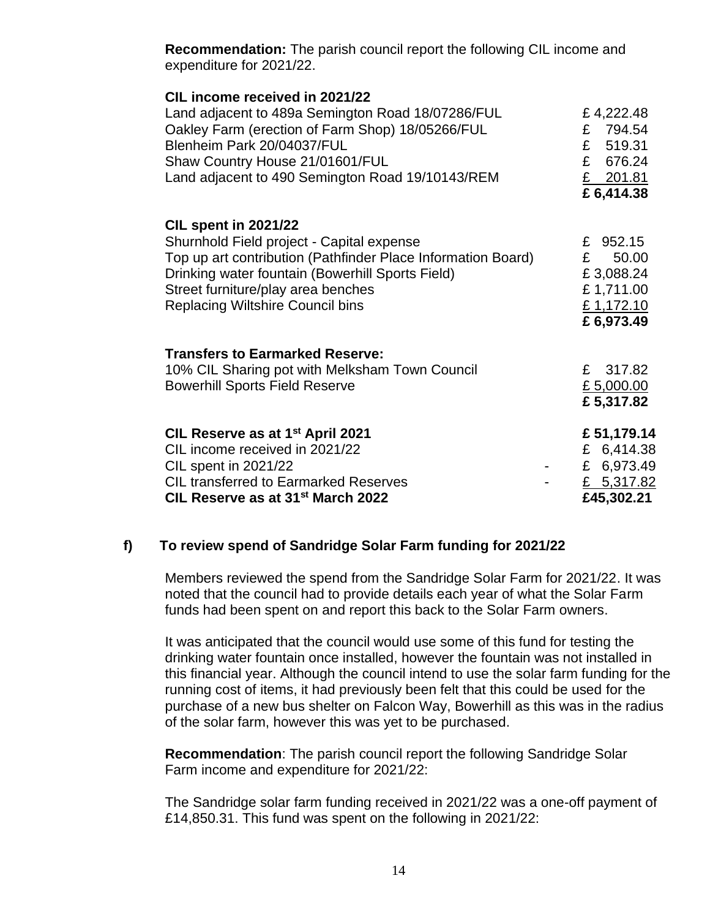**Recommendation:** The parish council report the following CIL income and expenditure for 2021/22.

| CIL income received in 2021/22<br>Land adjacent to 489a Semington Road 18/07286/FUL<br>Oakley Farm (erection of Farm Shop) 18/05266/FUL<br>Blenheim Park 20/04037/FUL<br>Shaw Country House 21/01601/FUL<br>Land adjacent to 490 Semington Road 19/10143/REM                  | £4,222.48<br>£ 794.54<br>£ 519.31<br>£ 676.24<br>$£$ 201.81<br>£6,414.38   |
|-------------------------------------------------------------------------------------------------------------------------------------------------------------------------------------------------------------------------------------------------------------------------------|----------------------------------------------------------------------------|
| <b>CIL spent in 2021/22</b><br>Shurnhold Field project - Capital expense<br>Top up art contribution (Pathfinder Place Information Board)<br>Drinking water fountain (Bowerhill Sports Field)<br>Street furniture/play area benches<br><b>Replacing Wiltshire Council bins</b> | £ 952.15<br>E<br>50.00<br>£3,088.24<br>£1,711.00<br>£1,172.10<br>£6,973.49 |
| <b>Transfers to Earmarked Reserve:</b><br>10% CIL Sharing pot with Melksham Town Council<br><b>Bowerhill Sports Field Reserve</b>                                                                                                                                             | 317.82<br>$\mathbf{f}$<br>£ 5,000.00<br>£5,317.82                          |
| CIL Reserve as at 1 <sup>st</sup> April 2021<br>CIL income received in 2021/22<br><b>CIL spent in 2021/22</b><br><b>CIL transferred to Earmarked Reserves</b><br>CIL Reserve as at 31 <sup>st</sup> March 2022                                                                | £51,179.14<br>£ 6,414.38<br>£ 6,973.49<br>£ $5,317.82$<br>£45,302.21       |

# **f) To review spend of Sandridge Solar Farm funding for 2021/22**

Members reviewed the spend from the Sandridge Solar Farm for 2021/22. It was noted that the council had to provide details each year of what the Solar Farm funds had been spent on and report this back to the Solar Farm owners.

It was anticipated that the council would use some of this fund for testing the drinking water fountain once installed, however the fountain was not installed in this financial year. Although the council intend to use the solar farm funding for the running cost of items, it had previously been felt that this could be used for the purchase of a new bus shelter on Falcon Way, Bowerhill as this was in the radius of the solar farm, however this was yet to be purchased.

**Recommendation**: The parish council report the following Sandridge Solar Farm income and expenditure for 2021/22:

The Sandridge solar farm funding received in 2021/22 was a one-off payment of £14,850.31. This fund was spent on the following in 2021/22: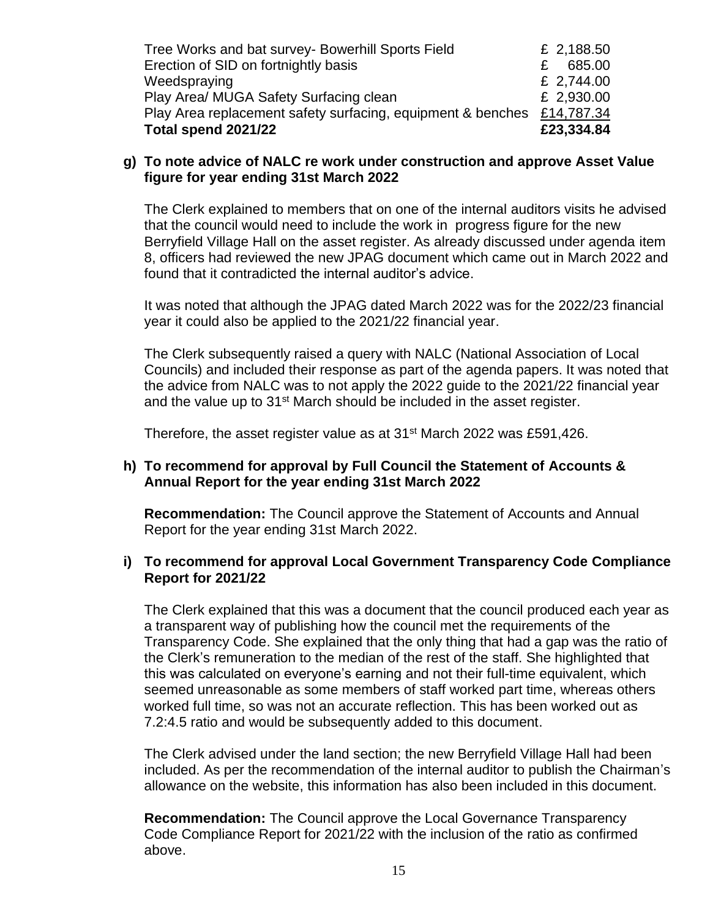| Total spend 2021/22                                         | £23,334.84 |
|-------------------------------------------------------------|------------|
| Play Area replacement safety surfacing, equipment & benches | £14,787.34 |
| Play Area/ MUGA Safety Surfacing clean                      | £ 2,930.00 |
| Weedspraying                                                | £ 2,744.00 |
| Erection of SID on fortnightly basis                        | 685.00     |
| Tree Works and bat survey- Bowerhill Sports Field           | £ 2,188.50 |

#### **g) To note advice of NALC re work under construction and approve Asset Value figure for year ending 31st March 2022**

The Clerk explained to members that on one of the internal auditors visits he advised that the council would need to include the work in progress figure for the new Berryfield Village Hall on the asset register. As already discussed under agenda item 8, officers had reviewed the new JPAG document which came out in March 2022 and found that it contradicted the internal auditor's advice.

It was noted that although the JPAG dated March 2022 was for the 2022/23 financial year it could also be applied to the 2021/22 financial year.

The Clerk subsequently raised a query with NALC (National Association of Local Councils) and included their response as part of the agenda papers. It was noted that the advice from NALC was to not apply the 2022 guide to the 2021/22 financial year and the value up to 31<sup>st</sup> March should be included in the asset register.

Therefore, the asset register value as at  $31<sup>st</sup>$  March 2022 was £591,426.

## **h) To recommend for approval by Full Council the Statement of Accounts & Annual Report for the year ending 31st March 2022**

**Recommendation:** The Council approve the Statement of Accounts and Annual Report for the year ending 31st March 2022.

## **i) To recommend for approval Local Government Transparency Code Compliance Report for 2021/22**

The Clerk explained that this was a document that the council produced each year as a transparent way of publishing how the council met the requirements of the Transparency Code. She explained that the only thing that had a gap was the ratio of the Clerk's remuneration to the median of the rest of the staff. She highlighted that this was calculated on everyone's earning and not their full-time equivalent, which seemed unreasonable as some members of staff worked part time, whereas others worked full time, so was not an accurate reflection. This has been worked out as 7.2:4.5 ratio and would be subsequently added to this document.

The Clerk advised under the land section; the new Berryfield Village Hall had been included. As per the recommendation of the internal auditor to publish the Chairman's allowance on the website, this information has also been included in this document.

**Recommendation:** The Council approve the Local Governance Transparency Code Compliance Report for 2021/22 with the inclusion of the ratio as confirmed above.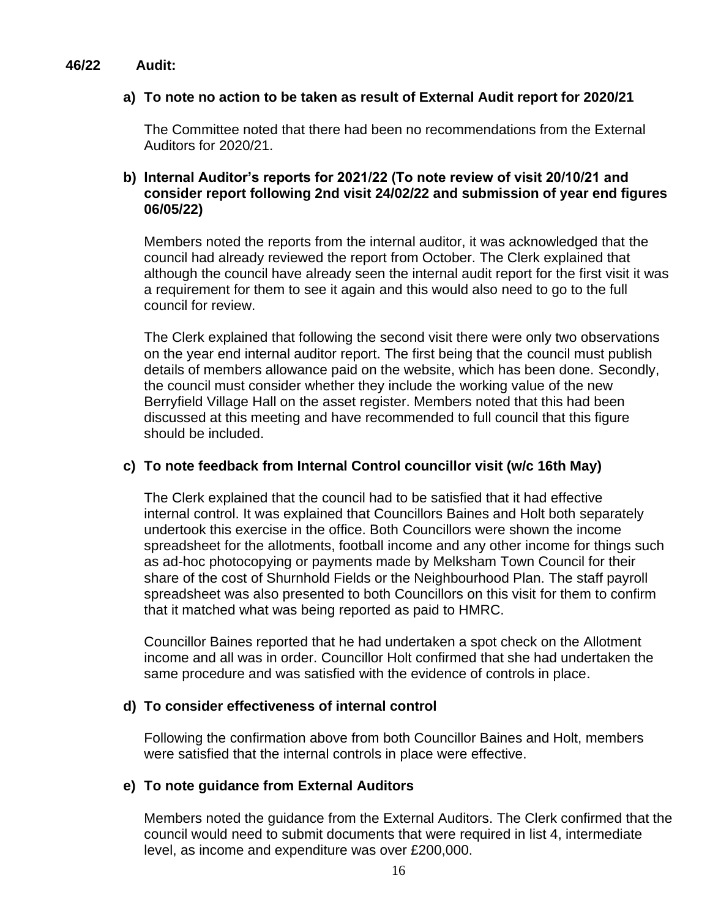#### **46/22 Audit:**

## **a) To note no action to be taken as result of External Audit report for 2020/21**

The Committee noted that there had been no recommendations from the External Auditors for 2020/21.

# **b) Internal Auditor's reports for 2021/22 (To note review of visit 20/10/21 and consider report following 2nd visit 24/02/22 and submission of year end figures 06/05/22)**

Members noted the reports from the internal auditor, it was acknowledged that the council had already reviewed the report from October. The Clerk explained that although the council have already seen the internal audit report for the first visit it was a requirement for them to see it again and this would also need to go to the full council for review.

The Clerk explained that following the second visit there were only two observations on the year end internal auditor report. The first being that the council must publish details of members allowance paid on the website, which has been done. Secondly, the council must consider whether they include the working value of the new Berryfield Village Hall on the asset register. Members noted that this had been discussed at this meeting and have recommended to full council that this figure should be included.

## **c) To note feedback from Internal Control councillor visit (w/c 16th May)**

The Clerk explained that the council had to be satisfied that it had effective internal control. It was explained that Councillors Baines and Holt both separately undertook this exercise in the office. Both Councillors were shown the income spreadsheet for the allotments, football income and any other income for things such as ad-hoc photocopying or payments made by Melksham Town Council for their share of the cost of Shurnhold Fields or the Neighbourhood Plan. The staff payroll spreadsheet was also presented to both Councillors on this visit for them to confirm that it matched what was being reported as paid to HMRC.

Councillor Baines reported that he had undertaken a spot check on the Allotment income and all was in order. Councillor Holt confirmed that she had undertaken the same procedure and was satisfied with the evidence of controls in place.

## **d) To consider effectiveness of internal control**

Following the confirmation above from both Councillor Baines and Holt, members were satisfied that the internal controls in place were effective.

## **e) To note guidance from External Auditors**

Members noted the guidance from the External Auditors. The Clerk confirmed that the council would need to submit documents that were required in list 4, intermediate level, as income and expenditure was over £200,000.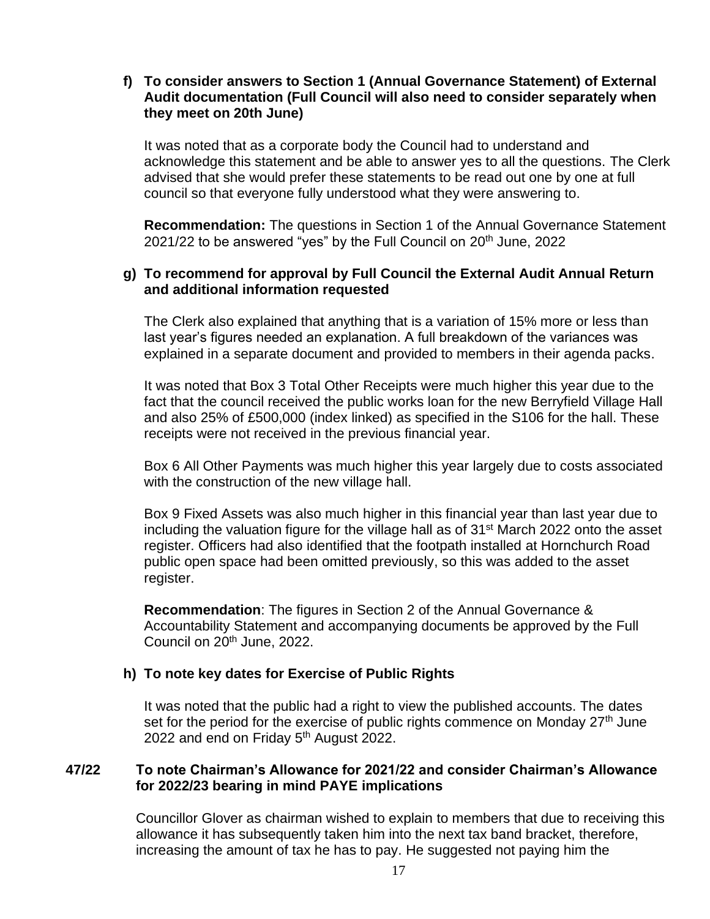## **f) To consider answers to Section 1 (Annual Governance Statement) of External Audit documentation (Full Council will also need to consider separately when they meet on 20th June)**

It was noted that as a corporate body the Council had to understand and acknowledge this statement and be able to answer yes to all the questions. The Clerk advised that she would prefer these statements to be read out one by one at full council so that everyone fully understood what they were answering to.

**Recommendation:** The questions in Section 1 of the Annual Governance Statement 2021/22 to be answered "yes" by the Full Council on  $20<sup>th</sup>$  June, 2022

## **g) To recommend for approval by Full Council the External Audit Annual Return and additional information requested**

The Clerk also explained that anything that is a variation of 15% more or less than last year's figures needed an explanation. A full breakdown of the variances was explained in a separate document and provided to members in their agenda packs.

It was noted that Box 3 Total Other Receipts were much higher this year due to the fact that the council received the public works loan for the new Berryfield Village Hall and also 25% of £500,000 (index linked) as specified in the S106 for the hall. These receipts were not received in the previous financial year.

Box 6 All Other Payments was much higher this year largely due to costs associated with the construction of the new village hall.

Box 9 Fixed Assets was also much higher in this financial year than last year due to including the valuation figure for the village hall as of 31<sup>st</sup> March 2022 onto the asset register. Officers had also identified that the footpath installed at Hornchurch Road public open space had been omitted previously, so this was added to the asset register.

**Recommendation**: The figures in Section 2 of the Annual Governance & Accountability Statement and accompanying documents be approved by the Full Council on 20<sup>th</sup> June, 2022.

## **h) To note key dates for Exercise of Public Rights**

It was noted that the public had a right to view the published accounts. The dates set for the period for the exercise of public rights commence on Monday 27<sup>th</sup> June 2022 and end on Friday 5<sup>th</sup> August 2022.

## **47/22 To note Chairman's Allowance for 2021/22 and consider Chairman's Allowance for 2022/23 bearing in mind PAYE implications**

Councillor Glover as chairman wished to explain to members that due to receiving this allowance it has subsequently taken him into the next tax band bracket, therefore, increasing the amount of tax he has to pay. He suggested not paying him the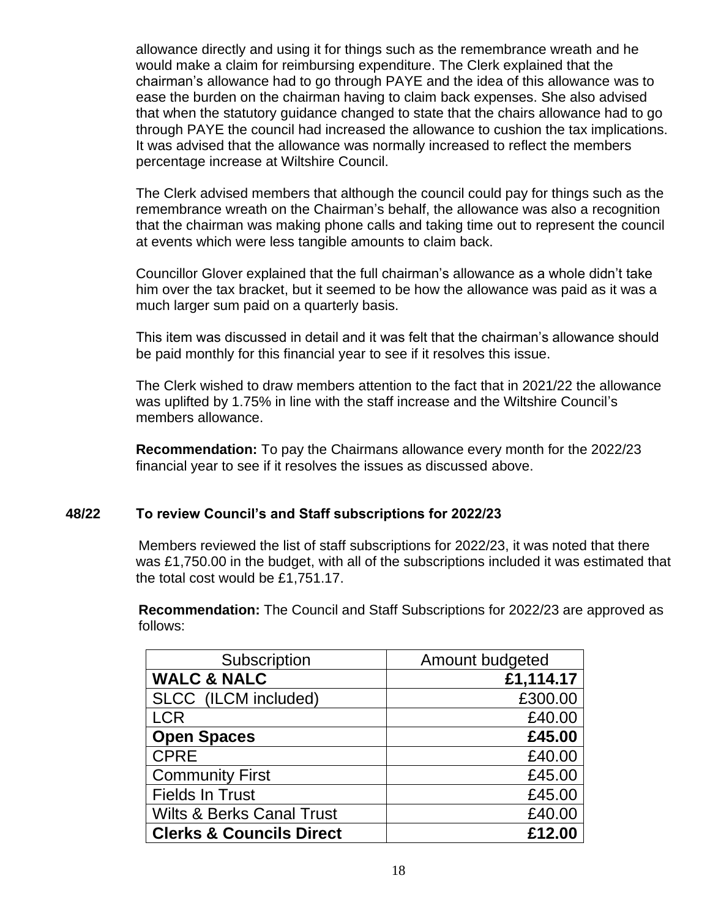allowance directly and using it for things such as the remembrance wreath and he would make a claim for reimbursing expenditure. The Clerk explained that the chairman's allowance had to go through PAYE and the idea of this allowance was to ease the burden on the chairman having to claim back expenses. She also advised that when the statutory guidance changed to state that the chairs allowance had to go through PAYE the council had increased the allowance to cushion the tax implications. It was advised that the allowance was normally increased to reflect the members percentage increase at Wiltshire Council.

The Clerk advised members that although the council could pay for things such as the remembrance wreath on the Chairman's behalf, the allowance was also a recognition that the chairman was making phone calls and taking time out to represent the council at events which were less tangible amounts to claim back.

Councillor Glover explained that the full chairman's allowance as a whole didn't take him over the tax bracket, but it seemed to be how the allowance was paid as it was a much larger sum paid on a quarterly basis.

This item was discussed in detail and it was felt that the chairman's allowance should be paid monthly for this financial year to see if it resolves this issue.

The Clerk wished to draw members attention to the fact that in 2021/22 the allowance was uplifted by 1.75% in line with the staff increase and the Wiltshire Council's members allowance.

**Recommendation:** To pay the Chairmans allowance every month for the 2022/23 financial year to see if it resolves the issues as discussed above.

## **48/22 To review Council's and Staff subscriptions for 2022/23**

Members reviewed the list of staff subscriptions for 2022/23, it was noted that there was £1,750.00 in the budget, with all of the subscriptions included it was estimated that the total cost would be £1,751.17.

**Recommendation:** The Council and Staff Subscriptions for 2022/23 are approved as follows:

| Subscription                         | Amount budgeted |
|--------------------------------------|-----------------|
| <b>WALC &amp; NALC</b>               | £1,114.17       |
| SLCC (ILCM included)                 | £300.00         |
| <b>LCR</b>                           | £40.00          |
| <b>Open Spaces</b>                   | £45.00          |
| <b>CPRE</b>                          | £40.00          |
| <b>Community First</b>               | £45.00          |
| <b>Fields In Trust</b>               | £45.00          |
| <b>Wilts &amp; Berks Canal Trust</b> | £40.00          |
| <b>Clerks &amp; Councils Direct</b>  | £12.00          |